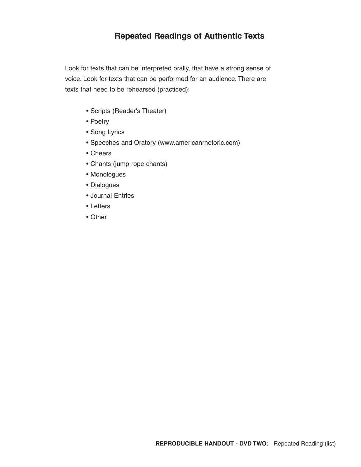# **Repeated Readings of Authentic Texts**

Look for texts that can be interpreted orally, that have a strong sense of voice. Look for texts that can be performed for an audience. There are texts that need to be rehearsed (practiced):

- Scripts (Reader's Theater)
- Poetry
- Song Lyrics
- Speeches and Oratory (www.americanrhetoric.com)
- Cheers
- Chants (jump rope chants)
- Monologues
- Dialogues
- Journal Entries
- Letters
- Other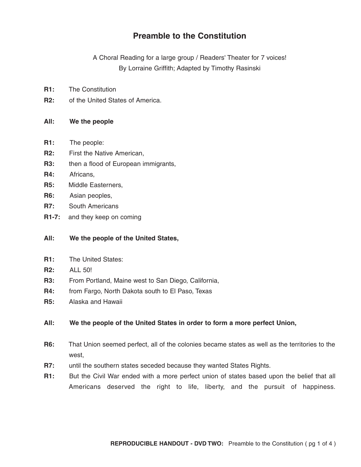# **Preamble to the Constitution**

A Choral Reading for a large group / Readers' Theater for 7 voices! By Lorraine Griffith; Adapted by Timothy Rasinski

- **R1:** The Constitution
- **R2:** of the United States of America.

#### **All: We the people**

- **R1:** The people:
- **R2:** First the Native American,
- **R3:** then a flood of European immigrants,
- **R4:** Africans,
- **R5:** Middle Easterners,
- **R6:** Asian peoples,
- **R7:** South Americans
- **R1-7:** and they keep on coming

### **All: We the people of the United States,**

- **R1:** The United States:
- **R2:** ALL 50!
- **R3:** From Portland, Maine west to San Diego, California,
- **R4:** from Fargo, North Dakota south to El Paso, Texas
- **R5:** Alaska and Hawaii

### **All: We the people of the United States in order to form a more perfect Union,**

- **R6:** That Union seemed perfect, all of the colonies became states as well as the territories to the west,
- **R7:** until the southern states seceded because they wanted States Rights.
- **R1:** But the Civil War ended with a more perfect union of states based upon the belief that all Americans deserved the right to life, liberty, and the pursuit of happiness.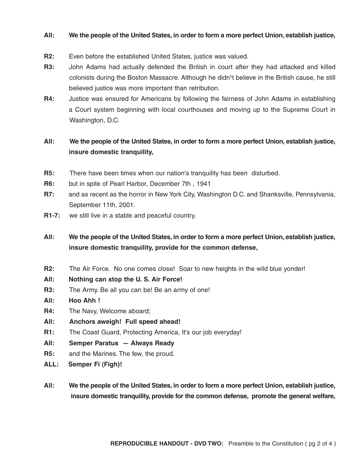#### **All: We the people of the United States, in order to form a more perfect Union, establish justice,**

- **R2:** Even before the established United States, justice was valued.
- **R3:** John Adams had actually defended the British in court after they had attacked and killed colonists during the Boston Massacre. Although he didn<sup>1</sup>t believe in the British cause, he still believed justice was more important than retribution.
- **R4:** Justice was ensured for Americans by following the fairness of John Adams in establishing a Court system beginning with local courthouses and moving up to the Supreme Court in Washington, D.C.

## **All: We the people of the United States, in order to form a more perfect Union, establish justice, insure domestic tranquility,**

- **R5:** There have been times when our nation's tranquility has been disturbed.
- **R6:** but in spite of Pearl Harbor, December 7th , 1941
- **R7:** and as recent as the horror in New York City, Washington D.C. and Shanksville, Pennsylvania, September 11th, 2001.
- **R1-7:** we still live in a stable and peaceful country.
- **All: We the people of the United States, in order to form a more perfect Union, establish justice, insure domestic tranquility, provide for the common defense,**
- **R2:** The Air Force. No one comes close! Soar to new heights in the wild blue yonder!
- **All: Nothing can stop the U. S. Air Force!**
- **R3:** The Army. Be all you can be! Be an army of one!
- **All: Hoo Ahh !**
- **R4:** The Navy, Welcome aboard;
- **All: Anchors aweigh! Full speed ahead!**
- **R1:** The Coast Guard, Protecting America, It's our job everyday!
- **All: Semper Paratus — Always Ready**
- **R5:** and the Marines. The few, the proud.
- **ALL: Semper Fi (Figh)!**
- **All: We the people of the United States, in order to form a more perfect Union, establish justice, insure domestic tranquility, provide for the common defense, promote the general welfare,**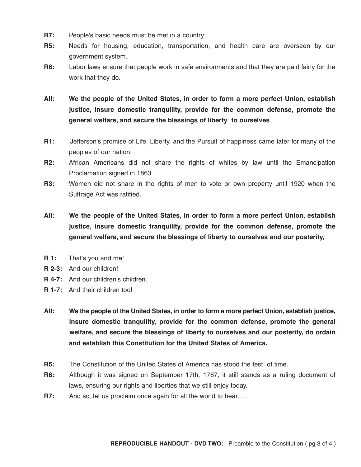- **R7:** People's basic needs must be met in a country.
- **R5:** Needs for housing, education, transportation, and health care are overseen by our government system.
- **R6:** Labor laws ensure that people work in safe environments and that they are paid fairly for the work that they do.
- **All: We the people of the United States, in order to form a more perfect Union, establish justice, insure domestic tranquility, provide for the common defense, promote the general welfare, and secure the blessings of liberty to ourselves**
- **R1:** Jefferson's promise of Life, Liberty, and the Pursuit of happiness came later for many of the peoples of our nation.
- **R2:** African Americans did not share the rights of whites by law until the Emancipation Proclamation signed in 1863.
- **R3:** Women did not share in the rights of men to vote or own property until 1920 when the Suffrage Act was ratified.
- **All: We the people of the United States, in order to form a more perfect Union, establish justice, insure domestic tranquility, provide for the common defense, promote the general welfare, and secure the blessings of liberty to ourselves and our posterity,**
- **R 1:** That's you and me!
- **R 2-3:** And our children!
- **R 4-7:** And our children's children.
- **R 1-7:** And their children too!
- **All: We the people of the United States, in order to form a more perfect Union, establish justice, insure domestic tranquility, provide for the common defense, promote the general welfare, and secure the blessings of liberty to ourselves and our posterity, do ordain and establish this Constitution for the United States of America.**
- **R5:** The Constitution of the United States of America has stood the test of time.
- **R6:** Although it was signed on September 17th, 1787, it still stands as a ruling document of laws, ensuring our rights and liberties that we still enjoy today.
- **R7:** And so, let us proclaim once again for all the world to hear....